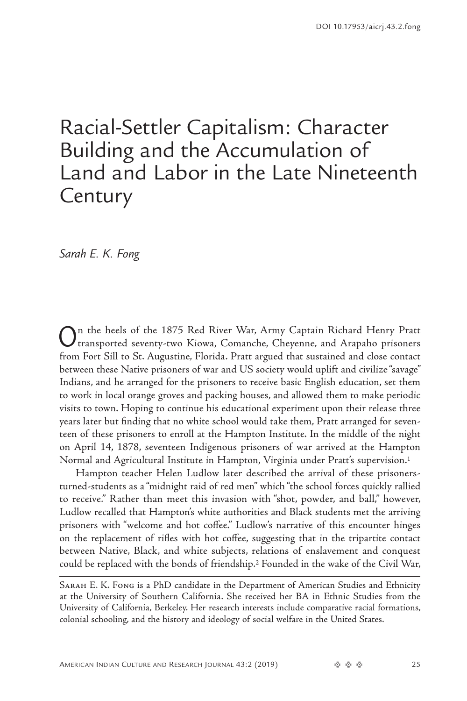# <span id="page-0-0"></span>Racial-Settler Capitalism: Character Building and the Accumulation of Land and Labor in the Late Nineteenth **Century**

*Sarah E. K. Fong*

On the heels of the 1875 Red River War, Army Captain Richard Henry Pratt transported seventy-two Kiowa, Comanche, Cheyenne, and Arapaho prisoners from Fort Sill to St. Augustine, Florida. Pratt argued that sustained and close contact between these Native prisoners of war and US society would uplift and civilize "savage" Indians, and he arranged for the prisoners to receive basic English education, set them to work in local orange groves and packing houses, and allowed them to make periodic visits to town. Hoping to continue his educational experiment upon their release three years later but finding that no white school would take them, Pratt arranged for seventeen of these prisoners to enroll at the Hampton Institute. In the middle of the night on April 14, 1878, seventeen Indigenous prisoners of war arrived at the Hampton Normal and Agricultural Institute in Hampton, Virginia under Pratt's supervision.[1](#page-19-0)

Hampton teacher Helen Ludlow later described the arrival of these prisonersturned-students as a "midnight raid of red men" which "the school forces quickly rallied to receive." Rather than meet this invasion with "shot, powder, and ball," however, Ludlow recalled that Hampton's white authorities and Black students met the arriving prisoners with "welcome and hot coffee." Ludlow's narrative of this encounter hinges on the replacement of rifles with hot coffee, suggesting that in the tripartite contact between Native, Black, and white subjects, relations of enslavement and conquest could be replaced with the bonds of friendship[.2](#page-19-0) Founded in the wake of the Civil War,

Sarah E. K. Fong is a PhD candidate in the Department of American Studies and Ethnicity at the University of Southern California. She received her BA in Ethnic Studies from the University of California, Berkeley. Her research interests include comparative racial formations, colonial schooling, and the history and ideology of social welfare in the United States.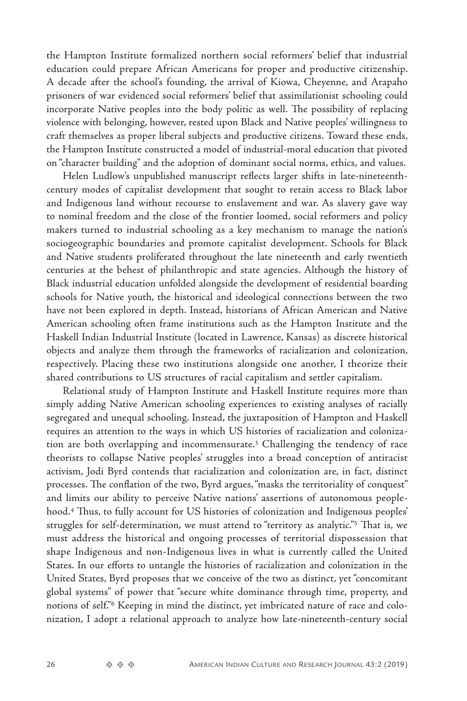<span id="page-1-0"></span>the Hampton Institute formalized northern social reformers' belief that industrial education could prepare African Americans for proper and productive citizenship. A decade after the school's founding, the arrival of Kiowa, Cheyenne, and Arapaho prisoners of war evidenced social reformers' belief that assimilationist schooling could incorporate Native peoples into the body politic as well. The possibility of replacing violence with belonging, however, rested upon Black and Native peoples' willingness to craft themselves as proper liberal subjects and productive citizens. Toward these ends, the Hampton Institute constructed a model of industrial-moral education that pivoted on "character building" and the adoption of dominant social norms, ethics, and values.

Helen Ludlow's unpublished manuscript reflects larger shifts in late-nineteenthcentury modes of capitalist development that sought to retain access to Black labor and Indigenous land without recourse to enslavement and war. As slavery gave way to nominal freedom and the close of the frontier loomed, social reformers and policy makers turned to industrial schooling as a key mechanism to manage the nation's sociogeographic boundaries and promote capitalist development. Schools for Black and Native students proliferated throughout the late nineteenth and early twentieth centuries at the behest of philanthropic and state agencies. Although the history of Black industrial education unfolded alongside the development of residential boarding schools for Native youth, the historical and ideological connections between the two have not been explored in depth. Instead, historians of African American and Native American schooling often frame institutions such as the Hampton Institute and the Haskell Indian Industrial Institute (located in Lawrence, Kansas) as discrete historical objects and analyze them through the frameworks of racialization and colonization, respectively. Placing these two institutions alongside one another, I theorize their shared contributions to US structures of racial capitalism and settler capitalism.

Relational study of Hampton Institute and Haskell Institute requires more than simply adding Native American schooling experiences to existing analyses of racially segregated and unequal schooling. Instead, the juxtaposition of Hampton and Haskell requires an attention to the ways in which US histories of racialization and colonization are both overlapping and incommensurate.[3](#page-19-0) Challenging the tendency of race theorists to collapse Native peoples' struggles into a broad conception of antiracist activism, Jodi Byrd contends that racialization and colonization are, in fact, distinct processes. The conflation of the two, Byrd argues, "masks the territoriality of conquest" and limits our ability to perceive Native nations' assertions of autonomous peoplehood[.4](#page-19-0) Thus, to fully account for US histories of colonization and Indigenous peoples' struggles for self-determination, we must attend to "territory as analytic."[5](#page-19-0) That is, we must address the historical and ongoing processes of territorial dispossession that shape Indigenous and non-Indigenous lives in what is currently called the United States. In our efforts to untangle the histories of racialization and colonization in the United States, Byrd proposes that we conceive of the two as distinct, yet "concomitant global systems" of power that "secure white dominance through time, property, and notions of self."[6](#page-19-0) Keeping in mind the distinct, yet imbricated nature of race and colonization, I adopt a relational approach to analyze how late-nineteenth-century social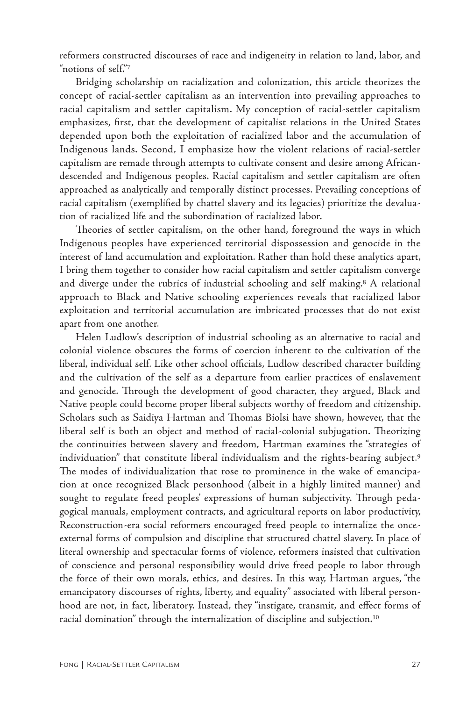<span id="page-2-0"></span>reformers constructed discourses of race and indigeneity in relation to land, labor, and "notions of self."[7](#page-19-0)

Bridging scholarship on racialization and colonization, this article theorizes the concept of racial-settler capitalism as an intervention into prevailing approaches to racial capitalism and settler capitalism. My conception of racial-settler capitalism emphasizes, first, that the development of capitalist relations in the United States depended upon both the exploitation of racialized labor and the accumulation of Indigenous lands. Second, I emphasize how the violent relations of racial-settler capitalism are remade through attempts to cultivate consent and desire among Africandescended and Indigenous peoples. Racial capitalism and settler capitalism are often approached as analytically and temporally distinct processes. Prevailing conceptions of racial capitalism (exemplified by chattel slavery and its legacies) prioritize the devaluation of racialized life and the subordination of racialized labor.

Theories of settler capitalism, on the other hand, foreground the ways in which Indigenous peoples have experienced territorial dispossession and genocide in the interest of land accumulation and exploitation. Rather than hold these analytics apart, I bring them together to consider how racial capitalism and settler capitalism converge and diverge under the rubrics of industrial schooling and self making.[8](#page-20-0) A relational approach to Black and Native schooling experiences reveals that racialized labor exploitation and territorial accumulation are imbricated processes that do not exist apart from one another.

Helen Ludlow's description of industrial schooling as an alternative to racial and colonial violence obscures the forms of coercion inherent to the cultivation of the liberal, individual self. Like other school officials, Ludlow described character building and the cultivation of the self as a departure from earlier practices of enslavement and genocide. Through the development of good character, they argued, Black and Native people could become proper liberal subjects worthy of freedom and citizenship. Scholars such as Saidiya Hartman and Thomas Biolsi have shown, however, that the liberal self is both an object and method of racial-colonial subjugation. Theorizing the continuities between slavery and freedom, Hartman examines the "strategies of individuation" that constitute liberal individualism and the rights-bearing subject.[9](#page-20-0) The modes of individualization that rose to prominence in the wake of emancipation at once recognized Black personhood (albeit in a highly limited manner) and sought to regulate freed peoples' expressions of human subjectivity. Through pedagogical manuals, employment contracts, and agricultural reports on labor productivity, Reconstruction-era social reformers encouraged freed people to internalize the onceexternal forms of compulsion and discipline that structured chattel slavery. In place of literal ownership and spectacular forms of violence, reformers insisted that cultivation of conscience and personal responsibility would drive freed people to labor through the force of their own morals, ethics, and desires. In this way, Hartman argues, "the emancipatory discourses of rights, liberty, and equality" associated with liberal personhood are not, in fact, liberatory. Instead, they "instigate, transmit, and effect forms of racial domination" through the internalization of discipline and subjection.[10](#page-20-0)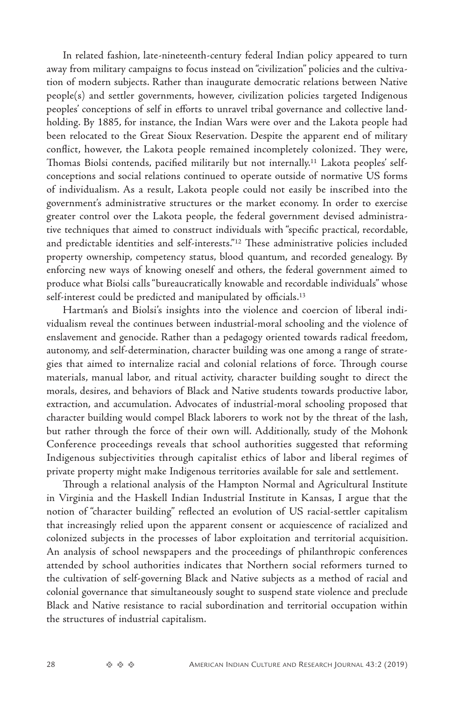<span id="page-3-0"></span>In related fashion, late-nineteenth-century federal Indian policy appeared to turn away from military campaigns to focus instead on "civilization" policies and the cultivation of modern subjects. Rather than inaugurate democratic relations between Native people(s) and settler governments, however, civilization policies targeted Indigenous peoples' conceptions of self in efforts to unravel tribal governance and collective landholding. By 1885, for instance, the Indian Wars were over and the Lakota people had been relocated to the Great Sioux Reservation. Despite the apparent end of military conflict, however, the Lakota people remained incompletely colonized. They were, Thomas Biolsi contends, pacified militarily but not internally[.11](#page-20-0) Lakota peoples' selfconceptions and social relations continued to operate outside of normative US forms of individualism. As a result, Lakota people could not easily be inscribed into the government's administrative structures or the market economy. In order to exercise greater control over the Lakota people, the federal government devised administrative techniques that aimed to construct individuals with "specific practical, recordable, and predictable identities and self-interests.["12](#page-20-0) These administrative policies included property ownership, competency status, blood quantum, and recorded genealogy. By enforcing new ways of knowing oneself and others, the federal government aimed to produce what Biolsi calls "bureaucratically knowable and recordable individuals" whose self-interest could be predicted and manipulated by officials.<sup>[13](#page-20-0)</sup>

Hartman's and Biolsi's insights into the violence and coercion of liberal individualism reveal the continues between industrial-moral schooling and the violence of enslavement and genocide. Rather than a pedagogy oriented towards radical freedom, autonomy, and self-determination, character building was one among a range of strategies that aimed to internalize racial and colonial relations of force. Through course materials, manual labor, and ritual activity, character building sought to direct the morals, desires, and behaviors of Black and Native students towards productive labor, extraction, and accumulation. Advocates of industrial-moral schooling proposed that character building would compel Black laborers to work not by the threat of the lash, but rather through the force of their own will. Additionally, study of the Mohonk Conference proceedings reveals that school authorities suggested that reforming Indigenous subjectivities through capitalist ethics of labor and liberal regimes of private property might make Indigenous territories available for sale and settlement.

Through a relational analysis of the Hampton Normal and Agricultural Institute in Virginia and the Haskell Indian Industrial Institute in Kansas, I argue that the notion of "character building" reflected an evolution of US racial-settler capitalism that increasingly relied upon the apparent consent or acquiescence of racialized and colonized subjects in the processes of labor exploitation and territorial acquisition. An analysis of school newspapers and the proceedings of philanthropic conferences attended by school authorities indicates that Northern social reformers turned to the cultivation of self-governing Black and Native subjects as a method of racial and colonial governance that simultaneously sought to suspend state violence and preclude Black and Native resistance to racial subordination and territorial occupation within the structures of industrial capitalism.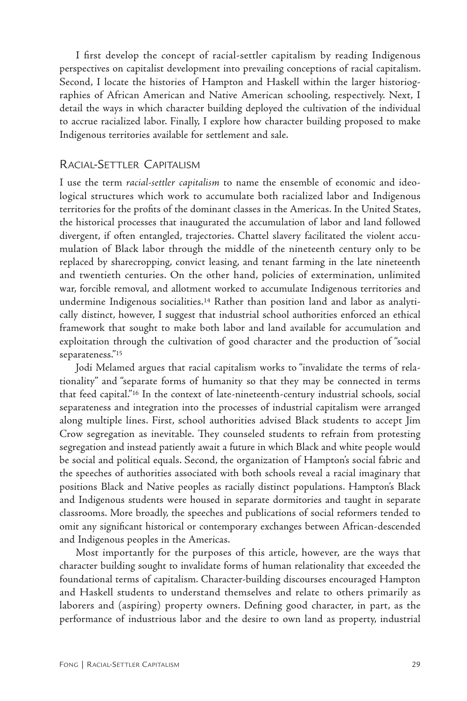<span id="page-4-0"></span>I first develop the concept of racial-settler capitalism by reading Indigenous perspectives on capitalist development into prevailing conceptions of racial capitalism. Second, I locate the histories of Hampton and Haskell within the larger historiographies of African American and Native American schooling, respectively. Next, I detail the ways in which character building deployed the cultivation of the individual to accrue racialized labor. Finally, I explore how character building proposed to make Indigenous territories available for settlement and sale.

# RACIAL-SETTLER CAPITALISM

I use the term *racial-settler capitalism* to name the ensemble of economic and ideological structures which work to accumulate both racialized labor and Indigenous territories for the profits of the dominant classes in the Americas. In the United States, the historical processes that inaugurated the accumulation of labor and land followed divergent, if often entangled, trajectories. Chattel slavery facilitated the violent accumulation of Black labor through the middle of the nineteenth century only to be replaced by sharecropping, convict leasing, and tenant farming in the late nineteenth and twentieth centuries. On the other hand, policies of extermination, unlimited war, forcible removal, and allotment worked to accumulate Indigenous territories and undermine Indigenous socialities[.14](#page-20-0) Rather than position land and labor as analytically distinct, however, I suggest that industrial school authorities enforced an ethical framework that sought to make both labor and land available for accumulation and exploitation through the cultivation of good character and the production of "social separateness.["15](#page-20-0)

Jodi Melamed argues that racial capitalism works to "invalidate the terms of relationality" and "separate forms of humanity so that they may be connected in terms that feed capital.["16](#page-20-0) In the context of late-nineteenth-century industrial schools, social separateness and integration into the processes of industrial capitalism were arranged along multiple lines. First, school authorities advised Black students to accept Jim Crow segregation as inevitable. They counseled students to refrain from protesting segregation and instead patiently await a future in which Black and white people would be social and political equals. Second, the organization of Hampton's social fabric and the speeches of authorities associated with both schools reveal a racial imaginary that positions Black and Native peoples as racially distinct populations. Hampton's Black and Indigenous students were housed in separate dormitories and taught in separate classrooms. More broadly, the speeches and publications of social reformers tended to omit any significant historical or contemporary exchanges between African-descended and Indigenous peoples in the Americas.

Most importantly for the purposes of this article, however, are the ways that character building sought to invalidate forms of human relationality that exceeded the foundational terms of capitalism. Character-building discourses encouraged Hampton and Haskell students to understand themselves and relate to others primarily as laborers and (aspiring) property owners. Defining good character, in part, as the performance of industrious labor and the desire to own land as property, industrial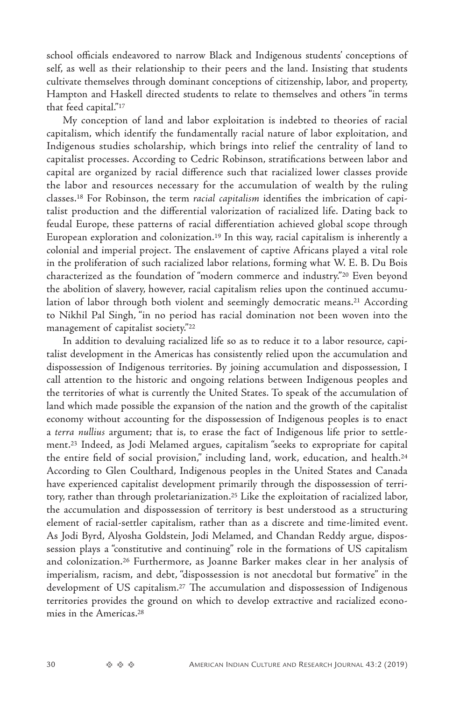<span id="page-5-0"></span>school officials endeavored to narrow Black and Indigenous students' conceptions of self, as well as their relationship to their peers and the land. Insisting that students cultivate themselves through dominant conceptions of citizenship, labor, and property, Hampton and Haskell directed students to relate to themselves and others "in terms that feed capital."[17](#page-20-0)

My conception of land and labor exploitation is indebted to theories of racial capitalism, which identify the fundamentally racial nature of labor exploitation, and Indigenous studies scholarship, which brings into relief the centrality of land to capitalist processes. According to Cedric Robinson, stratifications between labor and capital are organized by racial difference such that racialized lower classes provide the labor and resources necessary for the accumulation of wealth by the ruling classes.[18](#page-20-0) For Robinson, the term *racial capitalism* identifies the imbrication of capitalist production and the differential valorization of racialized life. Dating back to feudal Europe, these patterns of racial differentiation achieved global scope through European exploration and colonization[.19](#page-20-0) In this way, racial capitalism is inherently a colonial and imperial project. The enslavement of captive Africans played a vital role in the proliferation of such racialized labor relations, forming what W. E. B. Du Bois characterized as the foundation of "modern commerce and industry.["20](#page-20-0) Even beyond the abolition of slavery, however, racial capitalism relies upon the continued accumu-lation of labor through both violent and seemingly democratic means.<sup>[21](#page-20-0)</sup> According to Nikhil Pal Singh, "in no period has racial domination not been woven into the management of capitalist society."[22](#page-20-0)

In addition to devaluing racialized life so as to reduce it to a labor resource, capitalist development in the Americas has consistently relied upon the accumulation and dispossession of Indigenous territories. By joining accumulation and dispossession, I call attention to the historic and ongoing relations between Indigenous peoples and the territories of what is currently the United States. To speak of the accumulation of land which made possible the expansion of the nation and the growth of the capitalist economy without accounting for the dispossession of Indigenous peoples is to enact a *terra nullius* argument; that is, to erase the fact of Indigenous life prior to settlement[.23](#page-20-0) Indeed, as Jodi Melamed argues, capitalism "seeks to expropriate for capital the entire field of social provision," including land, work, education, and health.[24](#page-20-0) According to Glen Coulthard, Indigenous peoples in the United States and Canada have experienced capitalist development primarily through the dispossession of territory, rather than through proletarianization.[25](#page-20-0) Like the exploitation of racialized labor, the accumulation and dispossession of territory is best understood as a structuring element of racial-settler capitalism, rather than as a discrete and time-limited event. As Jodi Byrd, Alyosha Goldstein, Jodi Melamed, and Chandan Reddy argue, dispossession plays a "constitutive and continuing" role in the formations of US capitalism and colonization.[26](#page-20-0) Furthermore, as Joanne Barker makes clear in her analysis of imperialism, racism, and debt, "dispossession is not anecdotal but formative" in the development of US capitalism.[27](#page-20-0) The accumulation and dispossession of Indigenous territories provides the ground on which to develop extractive and racialized economies in the Americas[.28](#page-20-0)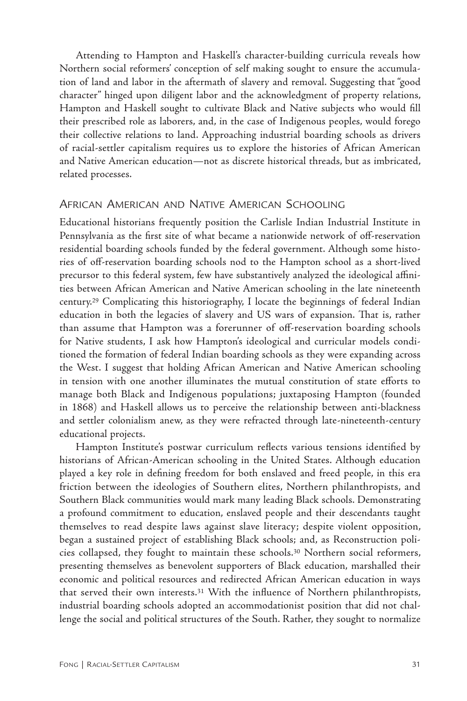<span id="page-6-0"></span>Attending to Hampton and Haskell's character-building curricula reveals how Northern social reformers' conception of self making sought to ensure the accumulation of land and labor in the aftermath of slavery and removal. Suggesting that "good character" hinged upon diligent labor and the acknowledgment of property relations, Hampton and Haskell sought to cultivate Black and Native subjects who would fill their prescribed role as laborers, and, in the case of Indigenous peoples, would forego their collective relations to land. Approaching industrial boarding schools as drivers of racial-settler capitalism requires us to explore the histories of African American and Native American education—not as discrete historical threads, but as imbricated, related processes.

### African American and Native American Schooling

Educational historians frequently position the Carlisle Indian Industrial Institute in Pennsylvania as the first site of what became a nationwide network of off-reservation residential boarding schools funded by the federal government. Although some histories of off-reservation boarding schools nod to the Hampton school as a short-lived precursor to this federal system, few have substantively analyzed the ideological affinities between African American and Native American schooling in the late nineteenth century[.29](#page-20-0) Complicating this historiography, I locate the beginnings of federal Indian education in both the legacies of slavery and US wars of expansion. That is, rather than assume that Hampton was a forerunner of off-reservation boarding schools for Native students, I ask how Hampton's ideological and curricular models conditioned the formation of federal Indian boarding schools as they were expanding across the West. I suggest that holding African American and Native American schooling in tension with one another illuminates the mutual constitution of state efforts to manage both Black and Indigenous populations; juxtaposing Hampton (founded in 1868) and Haskell allows us to perceive the relationship between anti-blackness and settler colonialism anew, as they were refracted through late-nineteenth-century educational projects.

Hampton Institute's postwar curriculum reflects various tensions identified by historians of African-American schooling in the United States. Although education played a key role in defining freedom for both enslaved and freed people, in this era friction between the ideologies of Southern elites, Northern philanthropists, and Southern Black communities would mark many leading Black schools. Demonstrating a profound commitment to education, enslaved people and their descendants taught themselves to read despite laws against slave literacy; despite violent opposition, began a sustained project of establishing Black schools; and, as Reconstruction policies collapsed, they fought to maintain these schools.[30](#page-21-0) Northern social reformers, presenting themselves as benevolent supporters of Black education, marshalled their economic and political resources and redirected African American education in ways that served their own interests.[31](#page-21-0) With the influence of Northern philanthropists, industrial boarding schools adopted an accommodationist position that did not challenge the social and political structures of the South. Rather, they sought to normalize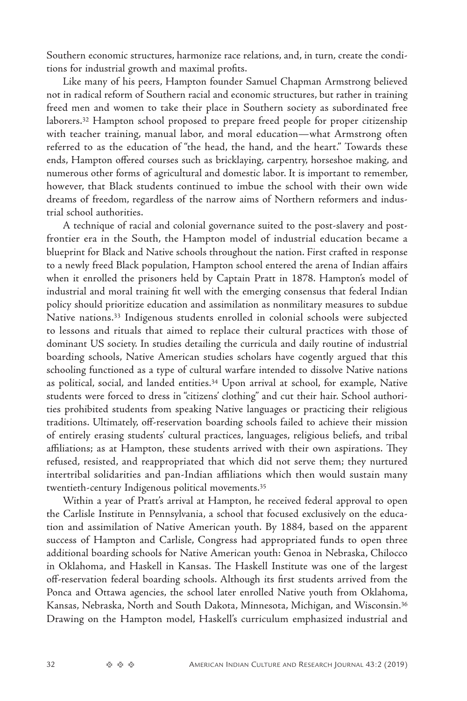<span id="page-7-0"></span>Southern economic structures, harmonize race relations, and, in turn, create the conditions for industrial growth and maximal profits.

Like many of his peers, Hampton founder Samuel Chapman Armstrong believed not in radical reform of Southern racial and economic structures, but rather in training freed men and women to take their place in Southern society as subordinated free laborers[.32](#page-21-0) Hampton school proposed to prepare freed people for proper citizenship with teacher training, manual labor, and moral education—what Armstrong often referred to as the education of "the head, the hand, and the heart." Towards these ends, Hampton offered courses such as bricklaying, carpentry, horseshoe making, and numerous other forms of agricultural and domestic labor. It is important to remember, however, that Black students continued to imbue the school with their own wide dreams of freedom, regardless of the narrow aims of Northern reformers and industrial school authorities.

A technique of racial and colonial governance suited to the post-slavery and postfrontier era in the South, the Hampton model of industrial education became a blueprint for Black and Native schools throughout the nation. First crafted in response to a newly freed Black population, Hampton school entered the arena of Indian affairs when it enrolled the prisoners held by Captain Pratt in 1878. Hampton's model of industrial and moral training fit well with the emerging consensus that federal Indian policy should prioritize education and assimilation as nonmilitary measures to subdue Native nations[.33](#page-21-0) Indigenous students enrolled in colonial schools were subjected to lessons and rituals that aimed to replace their cultural practices with those of dominant US society. In studies detailing the curricula and daily routine of industrial boarding schools, Native American studies scholars have cogently argued that this schooling functioned as a type of cultural warfare intended to dissolve Native nations as political, social, and landed entities.[34](#page-21-0) Upon arrival at school, for example, Native students were forced to dress in "citizens' clothing" and cut their hair. School authorities prohibited students from speaking Native languages or practicing their religious traditions. Ultimately, off-reservation boarding schools failed to achieve their mission of entirely erasing students' cultural practices, languages, religious beliefs, and tribal affiliations; as at Hampton, these students arrived with their own aspirations. They refused, resisted, and reappropriated that which did not serve them; they nurtured intertribal solidarities and pan-Indian affiliations which then would sustain many twentieth-century Indigenous political movements[.35](#page-21-0)

Within a year of Pratt's arrival at Hampton, he received federal approval to open the Carlisle Institute in Pennsylvania, a school that focused exclusively on the education and assimilation of Native American youth. By 1884, based on the apparent success of Hampton and Carlisle, Congress had appropriated funds to open three additional boarding schools for Native American youth: Genoa in Nebraska, Chilocco in Oklahoma, and Haskell in Kansas. The Haskell Institute was one of the largest off-reservation federal boarding schools. Although its first students arrived from the Ponca and Ottawa agencies, the school later enrolled Native youth from Oklahoma, Kansas, Nebraska, North and South Dakota, Minnesota, Michigan, and Wisconsin.[36](#page-21-0) Drawing on the Hampton model, Haskell's curriculum emphasized industrial and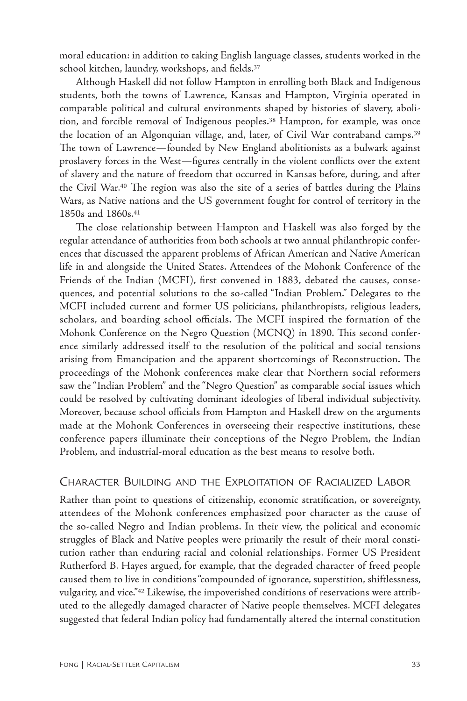<span id="page-8-0"></span>moral education: in addition to taking English language classes, students worked in the school kitchen, laundry, workshops, and fields.[37](#page-21-0)

Although Haskell did not follow Hampton in enrolling both Black and Indigenous students, both the towns of Lawrence, Kansas and Hampton, Virginia operated in comparable political and cultural environments shaped by histories of slavery, abolition, and forcible removal of Indigenous peoples.[38](#page-21-0) Hampton, for example, was once the location of an Algonquian village, and, later, of Civil War contraband camps.[39](#page-22-0) The town of Lawrence—founded by New England abolitionists as a bulwark against proslavery forces in the West—figures centrally in the violent conflicts over the extent of slavery and the nature of freedom that occurred in Kansas before, during, and after the Civil War[.40](#page-22-0) The region was also the site of a series of battles during the Plains Wars, as Native nations and the US government fought for control of territory in the 1850s and 1860s.[41](#page-22-0)

The close relationship between Hampton and Haskell was also forged by the regular attendance of authorities from both schools at two annual philanthropic conferences that discussed the apparent problems of African American and Native American life in and alongside the United States. Attendees of the Mohonk Conference of the Friends of the Indian (MCFI), first convened in 1883, debated the causes, consequences, and potential solutions to the so-called "Indian Problem." Delegates to the MCFI included current and former US politicians, philanthropists, religious leaders, scholars, and boarding school officials. The MCFI inspired the formation of the Mohonk Conference on the Negro Question (MCNQ) in 1890. This second conference similarly addressed itself to the resolution of the political and social tensions arising from Emancipation and the apparent shortcomings of Reconstruction. The proceedings of the Mohonk conferences make clear that Northern social reformers saw the "Indian Problem" and the "Negro Question" as comparable social issues which could be resolved by cultivating dominant ideologies of liberal individual subjectivity. Moreover, because school officials from Hampton and Haskell drew on the arguments made at the Mohonk Conferences in overseeing their respective institutions, these conference papers illuminate their conceptions of the Negro Problem, the Indian Problem, and industrial-moral education as the best means to resolve both.

# Character Building and the Exploitation of Racialized Labor

Rather than point to questions of citizenship, economic stratification, or sovereignty, attendees of the Mohonk conferences emphasized poor character as the cause of the so-called Negro and Indian problems. In their view, the political and economic struggles of Black and Native peoples were primarily the result of their moral constitution rather than enduring racial and colonial relationships. Former US President Rutherford B. Hayes argued, for example, that the degraded character of freed people caused them to live in conditions "compounded of ignorance, superstition, shiftlessness, vulgarity, and vice."[42](#page-22-0) Likewise, the impoverished conditions of reservations were attributed to the allegedly damaged character of Native people themselves. MCFI delegates suggested that federal Indian policy had fundamentally altered the internal constitution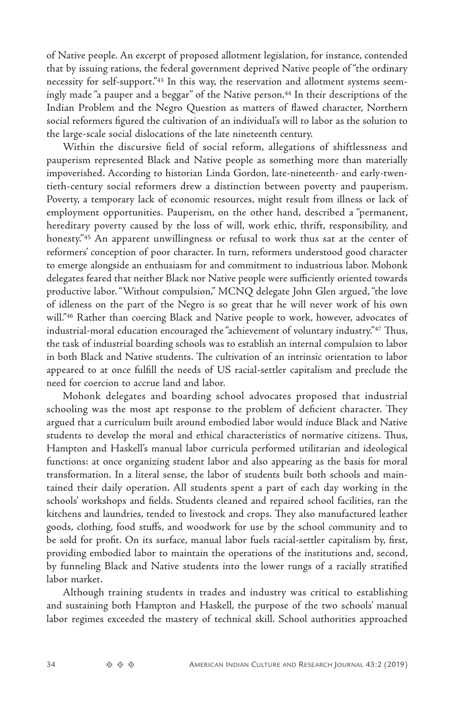<span id="page-9-0"></span>of Native people. An excerpt of proposed allotment legislation, for instance, contended that by issuing rations, the federal government deprived Native people of "the ordinary necessity for self-support.["43](#page-22-0) In this way, the reservation and allotment systems seemingly made "a pauper and a beggar" of the Native person[.44](#page-22-0) In their descriptions of the Indian Problem and the Negro Question as matters of flawed character, Northern social reformers figured the cultivation of an individual's will to labor as the solution to the large-scale social dislocations of the late nineteenth century.

Within the discursive field of social reform, allegations of shiftlessness and pauperism represented Black and Native people as something more than materially impoverished. According to historian Linda Gordon, late-nineteenth- and early-twentieth-century social reformers drew a distinction between poverty and pauperism. Poverty, a temporary lack of economic resources, might result from illness or lack of employment opportunities. Pauperism, on the other hand, described a "permanent, hereditary poverty caused by the loss of will, work ethic, thrift, responsibility, and honesty."[45](#page-22-0) An apparent unwillingness or refusal to work thus sat at the center of reformers' conception of poor character. In turn, reformers understood good character to emerge alongside an enthusiasm for and commitment to industrious labor. Mohonk delegates feared that neither Black nor Native people were sufficiently oriented towards productive labor. "Without compulsion," MCNQ delegate John Glen argued, "the love of idleness on the part of the Negro is so great that he will never work of his own will."[46](#page-22-0) Rather than coercing Black and Native people to work, however, advocates of industrial-moral education encouraged the "achievement of voluntary industry."[47](#page-22-0) Thus, the task of industrial boarding schools was to establish an internal compulsion to labor in both Black and Native students. The cultivation of an intrinsic orientation to labor appeared to at once fulfill the needs of US racial-settler capitalism and preclude the need for coercion to accrue land and labor.

Mohonk delegates and boarding school advocates proposed that industrial schooling was the most apt response to the problem of deficient character. They argued that a curriculum built around embodied labor would induce Black and Native students to develop the moral and ethical characteristics of normative citizens. Thus, Hampton and Haskell's manual labor curricula performed utilitarian and ideological functions: at once organizing student labor and also appearing as the basis for moral transformation. In a literal sense, the labor of students built both schools and maintained their daily operation. All students spent a part of each day working in the schools' workshops and fields. Students cleaned and repaired school facilities, ran the kitchens and laundries, tended to livestock and crops. They also manufactured leather goods, clothing, food stuffs, and woodwork for use by the school community and to be sold for profit. On its surface, manual labor fuels racial-settler capitalism by, first, providing embodied labor to maintain the operations of the institutions and, second, by funneling Black and Native students into the lower rungs of a racially stratified labor market.

Although training students in trades and industry was critical to establishing and sustaining both Hampton and Haskell, the purpose of the two schools' manual labor regimes exceeded the mastery of technical skill. School authorities approached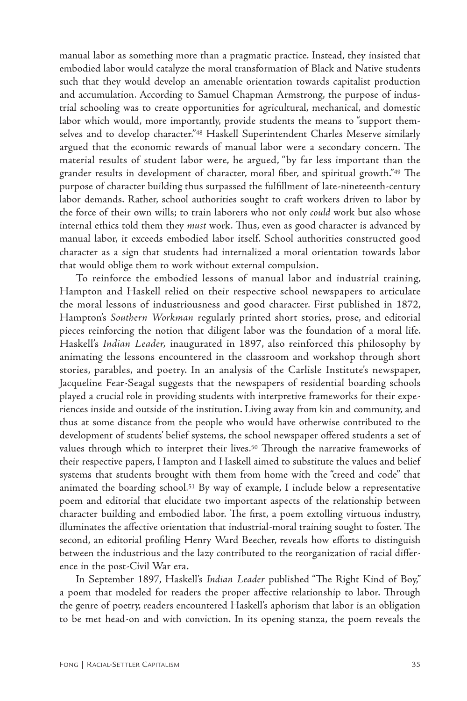<span id="page-10-0"></span>manual labor as something more than a pragmatic practice. Instead, they insisted that embodied labor would catalyze the moral transformation of Black and Native students such that they would develop an amenable orientation towards capitalist production and accumulation. According to Samuel Chapman Armstrong, the purpose of industrial schooling was to create opportunities for agricultural, mechanical, and domestic labor which would, more importantly, provide students the means to "support themselves and to develop character.["48](#page-22-0) Haskell Superintendent Charles Meserve similarly argued that the economic rewards of manual labor were a secondary concern. The material results of student labor were, he argued, "by far less important than the grander results in development of character, moral fiber, and spiritual growth."[49](#page-22-0) The purpose of character building thus surpassed the fulfillment of late-nineteenth-century labor demands. Rather, school authorities sought to craft workers driven to labor by the force of their own wills; to train laborers who not only *could* work but also whose internal ethics told them they *must* work. Thus, even as good character is advanced by manual labor, it exceeds embodied labor itself. School authorities constructed good character as a sign that students had internalized a moral orientation towards labor that would oblige them to work without external compulsion.

To reinforce the embodied lessons of manual labor and industrial training, Hampton and Haskell relied on their respective school newspapers to articulate the moral lessons of industriousness and good character. First published in 1872, Hampton's *Southern Workman* regularly printed short stories, prose, and editorial pieces reinforcing the notion that diligent labor was the foundation of a moral life. Haskell's *Indian Leader,* inaugurated in 1897, also reinforced this philosophy by animating the lessons encountered in the classroom and workshop through short stories, parables, and poetry. In an analysis of the Carlisle Institute's newspaper, Jacqueline Fear-Seagal suggests that the newspapers of residential boarding schools played a crucial role in providing students with interpretive frameworks for their experiences inside and outside of the institution. Living away from kin and community, and thus at some distance from the people who would have otherwise contributed to the development of students' belief systems, the school newspaper offered students a set of values through which to interpret their lives.<sup>50</sup> Through the narrative frameworks of their respective papers, Hampton and Haskell aimed to substitute the values and belief systems that students brought with them from home with the "creed and code" that animated the boarding school[.51](#page-22-0) By way of example, I include below a representative poem and editorial that elucidate two important aspects of the relationship between character building and embodied labor. The first, a poem extolling virtuous industry, illuminates the affective orientation that industrial-moral training sought to foster. The second, an editorial profiling Henry Ward Beecher, reveals how efforts to distinguish between the industrious and the lazy contributed to the reorganization of racial difference in the post-Civil War era.

In September 1897, Haskell's *Indian Leader* published "The Right Kind of Boy," a poem that modeled for readers the proper affective relationship to labor. Through the genre of poetry, readers encountered Haskell's aphorism that labor is an obligation to be met head-on and with conviction. In its opening stanza, the poem reveals the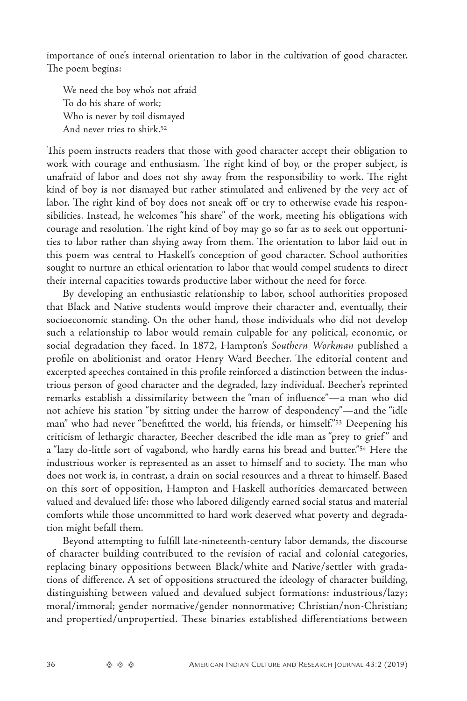<span id="page-11-0"></span>importance of one's internal orientation to labor in the cultivation of good character. The poem begins:

We need the boy who's not afraid To do his share of work; Who is never by toil dismayed And never tries to shirk.[52](#page-22-0)

This poem instructs readers that those with good character accept their obligation to work with courage and enthusiasm. The right kind of boy, or the proper subject, is unafraid of labor and does not shy away from the responsibility to work. The right kind of boy is not dismayed but rather stimulated and enlivened by the very act of labor. The right kind of boy does not sneak off or try to otherwise evade his responsibilities. Instead, he welcomes "his share" of the work, meeting his obligations with courage and resolution. The right kind of boy may go so far as to seek out opportunities to labor rather than shying away from them. The orientation to labor laid out in this poem was central to Haskell's conception of good character. School authorities sought to nurture an ethical orientation to labor that would compel students to direct their internal capacities towards productive labor without the need for force.

By developing an enthusiastic relationship to labor, school authorities proposed that Black and Native students would improve their character and, eventually, their socioeconomic standing. On the other hand, those individuals who did not develop such a relationship to labor would remain culpable for any political, economic, or social degradation they faced. In 1872, Hampton's *Southern Workman* published a profile on abolitionist and orator Henry Ward Beecher. The editorial content and excerpted speeches contained in this profile reinforced a distinction between the industrious person of good character and the degraded, lazy individual. Beecher's reprinted remarks establish a dissimilarity between the "man of influence"—a man who did not achieve his station "by sitting under the harrow of despondency"—and the "idle man" who had never "benefitted the world, his friends, or himself.["53](#page-22-0) Deepening his criticism of lethargic character, Beecher described the idle man as "prey to grief " and a "lazy do-little sort of vagabond, who hardly earns his bread and butter."[54](#page-22-0) Here the industrious worker is represented as an asset to himself and to society. The man who does not work is, in contrast, a drain on social resources and a threat to himself. Based on this sort of opposition, Hampton and Haskell authorities demarcated between valued and devalued life: those who labored diligently earned social status and material comforts while those uncommitted to hard work deserved what poverty and degradation might befall them.

Beyond attempting to fulfill late-nineteenth-century labor demands, the discourse of character building contributed to the revision of racial and colonial categories, replacing binary oppositions between Black/white and Native/settler with gradations of difference. A set of oppositions structured the ideology of character building, distinguishing between valued and devalued subject formations: industrious/lazy; moral/immoral; gender normative/gender nonnormative; Christian/non-Christian; and propertied/unpropertied. These binaries established differentiations between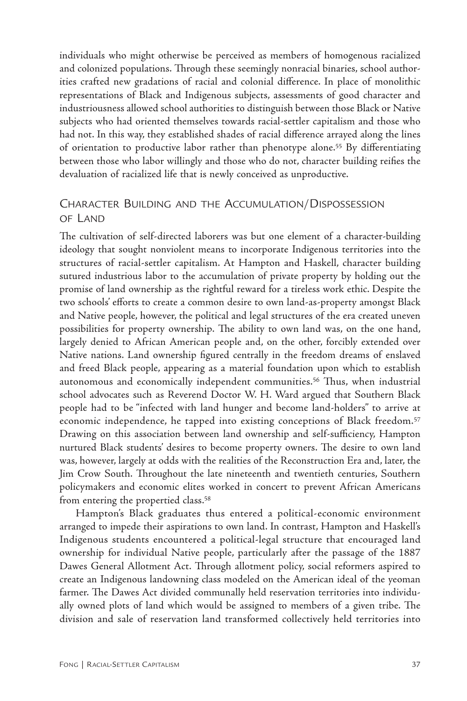<span id="page-12-0"></span>individuals who might otherwise be perceived as members of homogenous racialized and colonized populations. Through these seemingly nonracial binaries, school authorities crafted new gradations of racial and colonial difference. In place of monolithic representations of Black and Indigenous subjects, assessments of good character and industriousness allowed school authorities to distinguish between those Black or Native subjects who had oriented themselves towards racial-settler capitalism and those who had not. In this way, they established shades of racial difference arrayed along the lines of orientation to productive labor rather than phenotype alone[.55](#page-22-0) By differentiating between those who labor willingly and those who do not, character building reifies the devaluation of racialized life that is newly conceived as unproductive.

# Character Building and the Accumulation/Dispossession of Land

The cultivation of self-directed laborers was but one element of a character-building ideology that sought nonviolent means to incorporate Indigenous territories into the structures of racial-settler capitalism. At Hampton and Haskell, character building sutured industrious labor to the accumulation of private property by holding out the promise of land ownership as the rightful reward for a tireless work ethic. Despite the two schools' efforts to create a common desire to own land-as-property amongst Black and Native people, however, the political and legal structures of the era created uneven possibilities for property ownership. The ability to own land was, on the one hand, largely denied to African American people and, on the other, forcibly extended over Native nations. Land ownership figured centrally in the freedom dreams of enslaved and freed Black people, appearing as a material foundation upon which to establish autonomous and economically independent communities[.56](#page-22-0) Thus, when industrial school advocates such as Reverend Doctor W. H. Ward argued that Southern Black people had to be "infected with land hunger and become land-holders" to arrive at economic independence, he tapped into existing conceptions of Black freedom.[57](#page-22-0) Drawing on this association between land ownership and self-sufficiency, Hampton nurtured Black students' desires to become property owners. The desire to own land was, however, largely at odds with the realities of the Reconstruction Era and, later, the Jim Crow South. Throughout the late nineteenth and twentieth centuries, Southern policymakers and economic elites worked in concert to prevent African Americans from entering the propertied class.[58](#page-22-0)

Hampton's Black graduates thus entered a political-economic environment arranged to impede their aspirations to own land. In contrast, Hampton and Haskell's Indigenous students encountered a political-legal structure that encouraged land ownership for individual Native people, particularly after the passage of the 1887 Dawes General Allotment Act. Through allotment policy, social reformers aspired to create an Indigenous landowning class modeled on the American ideal of the yeoman farmer. The Dawes Act divided communally held reservation territories into individually owned plots of land which would be assigned to members of a given tribe. The division and sale of reservation land transformed collectively held territories into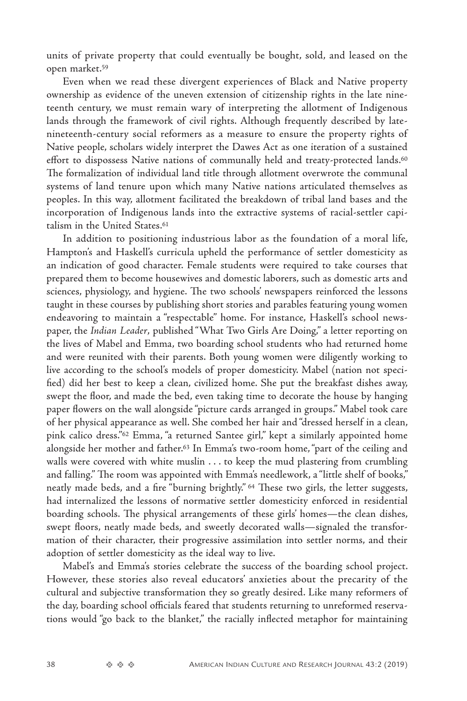<span id="page-13-0"></span>units of private property that could eventually be bought, sold, and leased on the open market[.59](#page-22-0)

Even when we read these divergent experiences of Black and Native property ownership as evidence of the uneven extension of citizenship rights in the late nineteenth century, we must remain wary of interpreting the allotment of Indigenous lands through the framework of civil rights. Although frequently described by latenineteenth-century social reformers as a measure to ensure the property rights of Native people, scholars widely interpret the Dawes Act as one iteration of a sustained effort to dispossess Native nations of communally held and treaty-protected lands.<sup>[60](#page-23-0)</sup> The formalization of individual land title through allotment overwrote the communal systems of land tenure upon which many Native nations articulated themselves as peoples. In this way, allotment facilitated the breakdown of tribal land bases and the incorporation of Indigenous lands into the extractive systems of racial-settler capitalism in the United States[.61](#page-23-0)

In addition to positioning industrious labor as the foundation of a moral life, Hampton's and Haskell's curricula upheld the performance of settler domesticity as an indication of good character. Female students were required to take courses that prepared them to become housewives and domestic laborers, such as domestic arts and sciences, physiology, and hygiene. The two schools' newspapers reinforced the lessons taught in these courses by publishing short stories and parables featuring young women endeavoring to maintain a "respectable" home. For instance, Haskell's school newspaper, the *Indian Leader*, published "What Two Girls Are Doing," a letter reporting on the lives of Mabel and Emma, two boarding school students who had returned home and were reunited with their parents. Both young women were diligently working to live according to the school's models of proper domesticity. Mabel (nation not specified) did her best to keep a clean, civilized home. She put the breakfast dishes away, swept the floor, and made the bed, even taking time to decorate the house by hanging paper flowers on the wall alongside "picture cards arranged in groups." Mabel took care of her physical appearance as well. She combed her hair and "dressed herself in a clean, pink calico dress.["62](#page-23-0) Emma, "a returned Santee girl," kept a similarly appointed home alongside her mother and father[.63](#page-23-0) In Emma's two-room home, "part of the ceiling and walls were covered with white muslin . . . to keep the mud plastering from crumbling and falling." The room was appointed with Emma's needlework, a "little shelf of books," neatly made beds, and a fire "burning brightly." [64](#page-23-0) These two girls, the letter suggests, had internalized the lessons of normative settler domesticity enforced in residential boarding schools. The physical arrangements of these girls' homes—the clean dishes, swept floors, neatly made beds, and sweetly decorated walls—signaled the transformation of their character, their progressive assimilation into settler norms, and their adoption of settler domesticity as the ideal way to live.

Mabel's and Emma's stories celebrate the success of the boarding school project. However, these stories also reveal educators' anxieties about the precarity of the cultural and subjective transformation they so greatly desired. Like many reformers of the day, boarding school officials feared that students returning to unreformed reservations would "go back to the blanket," the racially inflected metaphor for maintaining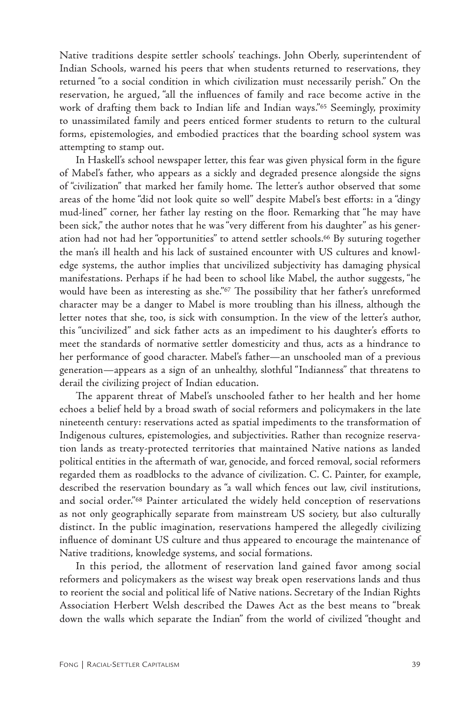<span id="page-14-0"></span>Native traditions despite settler schools' teachings. John Oberly, superintendent of Indian Schools, warned his peers that when students returned to reservations, they returned "to a social condition in which civilization must necessarily perish." On the reservation, he argued, "all the influences of family and race become active in the work of drafting them back to Indian life and Indian ways."<sup>65</sup> Seemingly, proximity to unassimilated family and peers enticed former students to return to the cultural forms, epistemologies, and embodied practices that the boarding school system was attempting to stamp out.

In Haskell's school newspaper letter, this fear was given physical form in the figure of Mabel's father, who appears as a sickly and degraded presence alongside the signs of "civilization" that marked her family home. The letter's author observed that some areas of the home "did not look quite so well" despite Mabel's best efforts: in a "dingy mud-lined" corner, her father lay resting on the floor. Remarking that "he may have been sick," the author notes that he was "very different from his daughter" as his generation had not had her "opportunities" to attend settler schools[.66](#page-23-0) By suturing together the man's ill health and his lack of sustained encounter with US cultures and knowledge systems, the author implies that uncivilized subjectivity has damaging physical manifestations. Perhaps if he had been to school like Mabel, the author suggests, "he would have been as interesting as she."<sup>67</sup> The possibility that her father's unreformed character may be a danger to Mabel is more troubling than his illness, although the letter notes that she, too, is sick with consumption. In the view of the letter's author, this "uncivilized" and sick father acts as an impediment to his daughter's efforts to meet the standards of normative settler domesticity and thus, acts as a hindrance to her performance of good character. Mabel's father—an unschooled man of a previous generation—appears as a sign of an unhealthy, slothful "Indianness" that threatens to derail the civilizing project of Indian education.

The apparent threat of Mabel's unschooled father to her health and her home echoes a belief held by a broad swath of social reformers and policymakers in the late nineteenth century: reservations acted as spatial impediments to the transformation of Indigenous cultures, epistemologies, and subjectivities. Rather than recognize reservation lands as treaty-protected territories that maintained Native nations as landed political entities in the aftermath of war, genocide, and forced removal, social reformers regarded them as roadblocks to the advance of civilization. C. C. Painter, for example, described the reservation boundary as "a wall which fences out law, civil institutions, and social order.["68](#page-23-0) Painter articulated the widely held conception of reservations as not only geographically separate from mainstream US society, but also culturally distinct. In the public imagination, reservations hampered the allegedly civilizing influence of dominant US culture and thus appeared to encourage the maintenance of Native traditions, knowledge systems, and social formations.

In this period, the allotment of reservation land gained favor among social reformers and policymakers as the wisest way break open reservations lands and thus to reorient the social and political life of Native nations. Secretary of the Indian Rights Association Herbert Welsh described the Dawes Act as the best means to "break down the walls which separate the Indian" from the world of civilized "thought and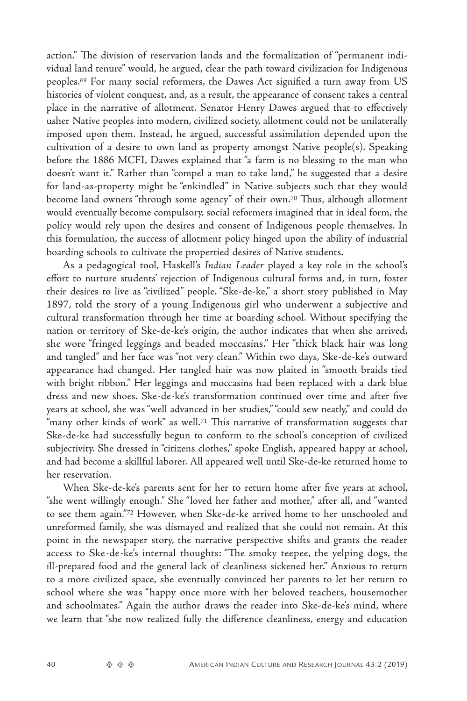<span id="page-15-0"></span>action." The division of reservation lands and the formalization of "permanent individual land tenure" would, he argued, clear the path toward civilization for Indigenous peoples[.69](#page-23-0) For many social reformers, the Dawes Act signified a turn away from US histories of violent conquest, and, as a result, the appearance of consent takes a central place in the narrative of allotment. Senator Henry Dawes argued that to effectively usher Native peoples into modern, civilized society, allotment could not be unilaterally imposed upon them. Instead, he argued, successful assimilation depended upon the cultivation of a desire to own land as property amongst Native people(s). Speaking before the 1886 MCFI, Dawes explained that "a farm is no blessing to the man who doesn't want it." Rather than "compel a man to take land," he suggested that a desire for land-as-property might be "enkindled" in Native subjects such that they would become land owners "through some agency" of their own.[70](#page-23-0) Thus, although allotment would eventually become compulsory, social reformers imagined that in ideal form, the policy would rely upon the desires and consent of Indigenous people themselves. In this formulation, the success of allotment policy hinged upon the ability of industrial boarding schools to cultivate the propertied desires of Native students.

As a pedagogical tool, Haskell's *Indian Leader* played a key role in the school's effort to nurture students' rejection of Indigenous cultural forms and, in turn, foster their desires to live as "civilized" people. "Ske-de-ke," a short story published in May 1897, told the story of a young Indigenous girl who underwent a subjective and cultural transformation through her time at boarding school. Without specifying the nation or territory of Ske-de-ke's origin, the author indicates that when she arrived, she wore "fringed leggings and beaded moccasins." Her "thick black hair was long and tangled" and her face was "not very clean." Within two days, Ske-de-ke's outward appearance had changed. Her tangled hair was now plaited in "smooth braids tied with bright ribbon." Her leggings and moccasins had been replaced with a dark blue dress and new shoes. Ske-de-ke's transformation continued over time and after five years at school, she was "well advanced in her studies," "could sew neatly," and could do "many other kinds of work" as well.<sup>71</sup> This narrative of transformation suggests that Ske-de-ke had successfully begun to conform to the school's conception of civilized subjectivity. She dressed in "citizens clothes," spoke English, appeared happy at school, and had become a skillful laborer. All appeared well until Ske-de-ke returned home to her reservation.

When Ske-de-ke's parents sent for her to return home after five years at school, "she went willingly enough." She "loved her father and mother," after all, and "wanted to see them again.["72](#page-23-0) However, when Ske-de-ke arrived home to her unschooled and unreformed family, she was dismayed and realized that she could not remain. At this point in the newspaper story, the narrative perspective shifts and grants the reader access to Ske-de-ke's internal thoughts: "The smoky teepee, the yelping dogs, the ill-prepared food and the general lack of cleanliness sickened her." Anxious to return to a more civilized space, she eventually convinced her parents to let her return to school where she was "happy once more with her beloved teachers, housemother and schoolmates." Again the author draws the reader into Ske-de-ke's mind, where we learn that "she now realized fully the difference cleanliness, energy and education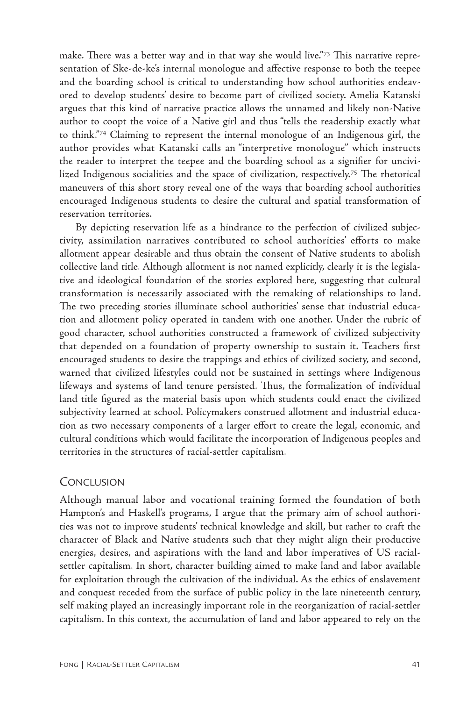<span id="page-16-0"></span>make. There was a better way and in that way she would live.["73](#page-23-0) This narrative representation of Ske-de-ke's internal monologue and affective response to both the teepee and the boarding school is critical to understanding how school authorities endeavored to develop students' desire to become part of civilized society. Amelia Katanski argues that this kind of narrative practice allows the unnamed and likely non-Native author to coopt the voice of a Native girl and thus "tells the readership exactly what to think.["74](#page-23-0) Claiming to represent the internal monologue of an Indigenous girl, the author provides what Katanski calls an "interpretive monologue" which instructs the reader to interpret the teepee and the boarding school as a signifier for uncivilized Indigenous socialities and the space of civilization, respectively[.75](#page-23-0) The rhetorical maneuvers of this short story reveal one of the ways that boarding school authorities encouraged Indigenous students to desire the cultural and spatial transformation of reservation territories.

By depicting reservation life as a hindrance to the perfection of civilized subjectivity, assimilation narratives contributed to school authorities' efforts to make allotment appear desirable and thus obtain the consent of Native students to abolish collective land title. Although allotment is not named explicitly, clearly it is the legislative and ideological foundation of the stories explored here, suggesting that cultural transformation is necessarily associated with the remaking of relationships to land. The two preceding stories illuminate school authorities' sense that industrial education and allotment policy operated in tandem with one another. Under the rubric of good character, school authorities constructed a framework of civilized subjectivity that depended on a foundation of property ownership to sustain it. Teachers first encouraged students to desire the trappings and ethics of civilized society, and second, warned that civilized lifestyles could not be sustained in settings where Indigenous lifeways and systems of land tenure persisted. Thus, the formalization of individual land title figured as the material basis upon which students could enact the civilized subjectivity learned at school. Policymakers construed allotment and industrial education as two necessary components of a larger effort to create the legal, economic, and cultural conditions which would facilitate the incorporation of Indigenous peoples and territories in the structures of racial-settler capitalism.

# **CONCLUSION**

Although manual labor and vocational training formed the foundation of both Hampton's and Haskell's programs, I argue that the primary aim of school authorities was not to improve students' technical knowledge and skill, but rather to craft the character of Black and Native students such that they might align their productive energies, desires, and aspirations with the land and labor imperatives of US racialsettler capitalism. In short, character building aimed to make land and labor available for exploitation through the cultivation of the individual. As the ethics of enslavement and conquest receded from the surface of public policy in the late nineteenth century, self making played an increasingly important role in the reorganization of racial-settler capitalism. In this context, the accumulation of land and labor appeared to rely on the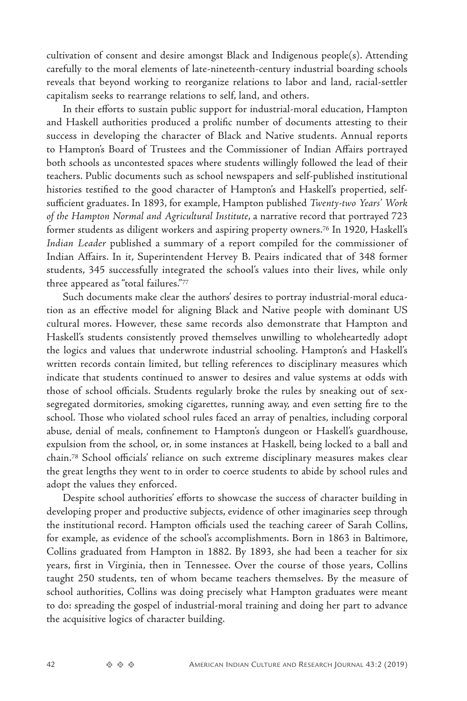<span id="page-17-0"></span>cultivation of consent and desire amongst Black and Indigenous people(s). Attending carefully to the moral elements of late-nineteenth-century industrial boarding schools reveals that beyond working to reorganize relations to labor and land, racial-settler capitalism seeks to rearrange relations to self, land, and others.

In their efforts to sustain public support for industrial-moral education, Hampton and Haskell authorities produced a prolific number of documents attesting to their success in developing the character of Black and Native students. Annual reports to Hampton's Board of Trustees and the Commissioner of Indian Affairs portrayed both schools as uncontested spaces where students willingly followed the lead of their teachers. Public documents such as school newspapers and self-published institutional histories testified to the good character of Hampton's and Haskell's propertied, selfsufficient graduates. In 1893, for example, Hampton published *Twenty-two Years' Work of the Hampton Normal and Agricultural Institute*, a narrative record that portrayed 723 former students as diligent workers and aspiring property owners[.76](#page-23-0) In 1920, Haskell's *Indian Leader* published a summary of a report compiled for the commissioner of Indian Affairs. In it, Superintendent Hervey B. Peairs indicated that of 348 former students, 345 successfully integrated the school's values into their lives, while only three appeared as "total failures.["77](#page-23-0)

Such documents make clear the authors' desires to portray industrial-moral education as an effective model for aligning Black and Native people with dominant US cultural mores. However, these same records also demonstrate that Hampton and Haskell's students consistently proved themselves unwilling to wholeheartedly adopt the logics and values that underwrote industrial schooling. Hampton's and Haskell's written records contain limited, but telling references to disciplinary measures which indicate that students continued to answer to desires and value systems at odds with those of school officials. Students regularly broke the rules by sneaking out of sexsegregated dormitories, smoking cigarettes, running away, and even setting fire to the school. Those who violated school rules faced an array of penalties, including corporal abuse, denial of meals, confinement to Hampton's dungeon or Haskell's guardhouse, expulsion from the school, or, in some instances at Haskell, being locked to a ball and chain[.78](#page-23-0) School officials' reliance on such extreme disciplinary measures makes clear the great lengths they went to in order to coerce students to abide by school rules and adopt the values they enforced.

Despite school authorities' efforts to showcase the success of character building in developing proper and productive subjects, evidence of other imaginaries seep through the institutional record. Hampton officials used the teaching career of Sarah Collins, for example, as evidence of the school's accomplishments. Born in 1863 in Baltimore, Collins graduated from Hampton in 1882. By 1893, she had been a teacher for six years, first in Virginia, then in Tennessee. Over the course of those years, Collins taught 250 students, ten of whom became teachers themselves. By the measure of school authorities, Collins was doing precisely what Hampton graduates were meant to do: spreading the gospel of industrial-moral training and doing her part to advance the acquisitive logics of character building.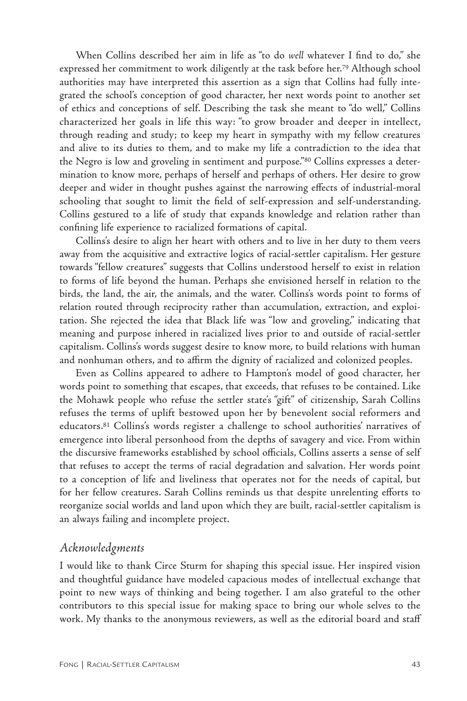<span id="page-18-0"></span>When Collins described her aim in life as "to do *well* whatever I find to do," she expressed her commitment to work diligently at the task before her[.79](#page-23-0) Although school authorities may have interpreted this assertion as a sign that Collins had fully integrated the school's conception of good character, her next words point to another set of ethics and conceptions of self. Describing the task she meant to "do well," Collins characterized her goals in life this way: "to grow broader and deeper in intellect, through reading and study; to keep my heart in sympathy with my fellow creatures and alive to its duties to them, and to make my life a contradiction to the idea that the Negro is low and groveling in sentiment and purpose."[80](#page-23-0) Collins expresses a determination to know more, perhaps of herself and perhaps of others. Her desire to grow deeper and wider in thought pushes against the narrowing effects of industrial-moral schooling that sought to limit the field of self-expression and self-understanding. Collins gestured to a life of study that expands knowledge and relation rather than confining life experience to racialized formations of capital.

Collins's desire to align her heart with others and to live in her duty to them veers away from the acquisitive and extractive logics of racial-settler capitalism. Her gesture towards "fellow creatures" suggests that Collins understood herself to exist in relation to forms of life beyond the human. Perhaps she envisioned herself in relation to the birds, the land, the air, the animals, and the water. Collins's words point to forms of relation routed through reciprocity rather than accumulation, extraction, and exploitation. She rejected the idea that Black life was "low and groveling," indicating that meaning and purpose inhered in racialized lives prior to and outside of racial-settler capitalism. Collins's words suggest desire to know more, to build relations with human and nonhuman others, and to affirm the dignity of racialized and colonized peoples.

Even as Collins appeared to adhere to Hampton's model of good character, her words point to something that escapes, that exceeds, that refuses to be contained. Like the Mohawk people who refuse the settler state's "gift" of citizenship, Sarah Collins refuses the terms of uplift bestowed upon her by benevolent social reformers and educators[.81](#page-23-0) Collins's words register a challenge to school authorities' narratives of emergence into liberal personhood from the depths of savagery and vice. From within the discursive frameworks established by school officials, Collins asserts a sense of self that refuses to accept the terms of racial degradation and salvation. Her words point to a conception of life and liveliness that operates not for the needs of capital, but for her fellow creatures. Sarah Collins reminds us that despite unrelenting efforts to reorganize social worlds and land upon which they are built, racial-settler capitalism is an always failing and incomplete project.

# *Acknowledgments*

I would like to thank Circe Sturm for shaping this special issue. Her inspired vision and thoughtful guidance have modeled capacious modes of intellectual exchange that point to new ways of thinking and being together. I am also grateful to the other contributors to this special issue for making space to bring our whole selves to the work. My thanks to the anonymous reviewers, as well as the editorial board and staff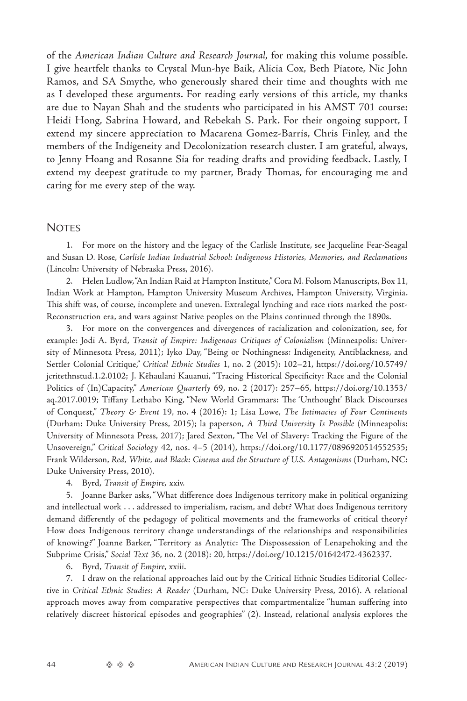<span id="page-19-0"></span>of the *American Indian Culture and Research Journal*, for making this volume possible. I give heartfelt thanks to Crystal Mun-hye Baik, Alicia Cox, Beth Piatote, Nic John Ramos, and SA Smythe, who generously shared their time and thoughts with me as I developed these arguments. For reading early versions of this article, my thanks are due to Nayan Shah and the students who participated in his AMST 701 course: Heidi Hong, Sabrina Howard, and Rebekah S. Park. For their ongoing support, I extend my sincere appreciation to Macarena Gomez-Barris, Chris Finley, and the members of the Indigeneity and Decolonization research cluster. I am grateful, always, to Jenny Hoang and Rosanne Sia for reading drafts and providing feedback. Lastly, I extend my deepest gratitude to my partner, Brady Thomas, for encouraging me and caring for me every step of the way.

### **NOTES**

[1.](#page-0-0) For more on the history and the legacy of the Carlisle Institute, see Jacqueline Fear-Seagal and Susan D. Rose, *Carlisle Indian Industrial School: Indigenous Histories, Memories, and Reclamations*  (Lincoln: University of Nebraska Press, 2016).

[2.](#page-0-0) Helen Ludlow, "An Indian Raid at Hampton Institute," Cora M. Folsom Manuscripts, Box 11, Indian Work at Hampton, Hampton University Museum Archives, Hampton University, Virginia. This shift was, of course, incomplete and uneven. Extralegal lynching and race riots marked the post-Reconstruction era, and wars against Native peoples on the Plains continued through the 1890s.

[3.](#page-1-0) For more on the convergences and divergences of racialization and colonization, see, for example: Jodi A. Byrd, *Transit of Empire: Indigenous Critiques of Colonialism* (Minneapolis: University of Minnesota Press, 2011); Iyko Day, "Being or Nothingness: Indigeneity, Antiblackness, and Settler Colonial Critique," *Critical Ethnic Studies* 1, no. 2 (2015): 102–21, [https://doi.org/10.5749/](https://doi.org/10.5749/jcritethnstud.1.2.0102) [jcritethnstud.1.2.0102](https://doi.org/10.5749/jcritethnstud.1.2.0102); J. Kēhaulani Kauanui, "Tracing Historical Specificity: Race and the Colonial Politics of (In)Capacity," *American Quarterly* 69, no. 2 (2017): 257–65, [https://doi.org/10.1353/](https://doi.org/10.1353/aq.2017.0019) [aq.2017.0019](https://doi.org/10.1353/aq.2017.0019); Tiffany Lethabo King, "New World Grammars: The 'Unthought' Black Discourses of Conquest," *Theory & Event* 19, no. 4 (2016): 1; Lisa Lowe, *The Intimacies of Four Continents* (Durham: Duke University Press, 2015); la paperson, *A Third University Is Possible* (Minneapolis: University of Minnesota Press, 2017); Jared Sexton, "The Vel of Slavery: Tracking the Figure of the Unsovereign," *Critical Sociology* 42, nos. 4–5 (2014), [https://doi.org/10.1177/0896920514552535;](https://doi.org/10.1177/0896920514552535) Frank Wilderson, *Red, White, and Black: Cinema and the Structure of U.S. Antagonisms* (Durham, NC: Duke University Press, 2010).

[4.](#page-1-0) Byrd, *Transit of Empire,* xxiv.

[5.](#page-1-0) Joanne Barker asks, "What difference does Indigenous territory make in political organizing and intellectual work . . . addressed to imperialism, racism, and debt? What does Indigenous territory demand differently of the pedagogy of political movements and the frameworks of critical theory? How does Indigenous territory change understandings of the relationships and responsibilities of knowing?" Joanne Barker, "Territory as Analytic: The Dispossession of Lenapehoking and the Subprime Crisis," *Social Text* 36, no. 2 (2018): 20, <https://doi.org/10.1215/01642472-4362337>.

[6.](#page-1-0) Byrd, *Transit of Empire*, xxiii.

[7.](#page-2-0) I draw on the relational approaches laid out by the Critical Ethnic Studies Editorial Collective in *Critical Ethnic Studies: A Reader* (Durham, NC: Duke University Press, 2016). A relational approach moves away from comparative perspectives that compartmentalize "human suffering into relatively discreet historical episodes and geographies" (2). Instead, relational analysis explores the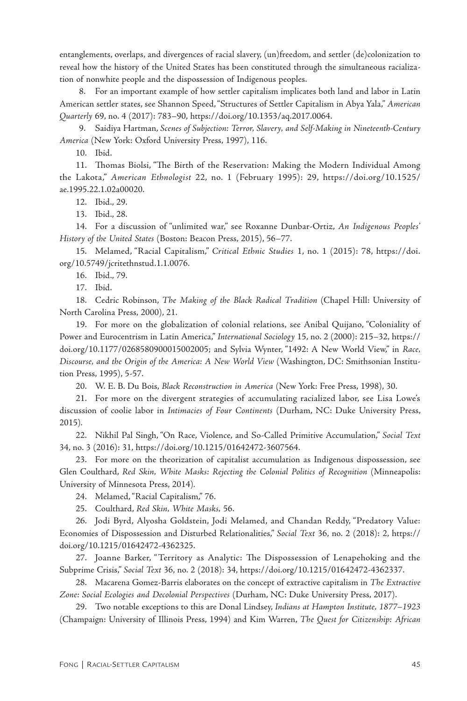<span id="page-20-0"></span>entanglements, overlaps, and divergences of racial slavery, (un)freedom, and settler (de)colonization to reveal how the history of the United States has been constituted through the simultaneous racialization of nonwhite people and the dispossession of Indigenous peoples.

[8.](#page-2-0) For an important example of how settler capitalism implicates both land and labor in Latin American settler states, see Shannon Speed, "Structures of Settler Capitalism in Abya Yala," *American Quarterly* 69, no. 4 (2017): 783–90, [https://doi.org/10.1353/aq.2017.0064.](https://doi.org/10.1353/aq.2017.0064)

[9.](#page-2-0) Saidiya Hartman, *Scenes of Subjection: Terror, Slavery, and Self-Making in Nineteenth-Century America* (New York: Oxford University Press, 1997), 116.

[10.](#page-2-0) Ibid.

[11.](#page-3-0) Thomas Biolsi, "The Birth of the Reservation: Making the Modern Individual Among the Lakota," *American Ethnologist* 22, no. 1 (February 1995): 29, [https://doi.org/10.1525/](https://doi.org/10.1525/ae.1995.22.1.02a00020) [ae.1995.22.1.02a00020.](https://doi.org/10.1525/ae.1995.22.1.02a00020)

[12.](#page-3-0) Ibid., 29.

[13.](#page-3-0) Ibid., 28.

[14.](#page-4-0) For a discussion of "unlimited war," see Roxanne Dunbar-Ortiz, *An Indigenous Peoples' History of the United States* (Boston: Beacon Press, 2015), 56–77.

[15.](#page-4-0) Melamed, "Racial Capitalism," *Critical Ethnic Studies* 1, no. 1 (2015): 78, [https://doi.](https://doi.org/10.5749/jcritethnstud.1.1.0076) [org/10.5749/jcritethnstud.1.1.0076.](https://doi.org/10.5749/jcritethnstud.1.1.0076)

[16.](#page-4-0) Ibid., 79.

[17.](#page-5-0) Ibid.

[18.](#page-5-0) Cedric Robinson, *The Making of the Black Radical Tradition* (Chapel Hill: University of North Carolina Press, 2000), 21.

[19.](#page-5-0) For more on the globalization of colonial relations, see Anibal Quijano, "Coloniality of Power and Eurocentrism in Latin America," *International Sociology* 15, no. 2 (2000): 215–32, [https://](https://doi.org/10.1177%2F0268580900015002005) [doi.org/10.1177/0268580900015002005;](https://doi.org/10.1177%2F0268580900015002005) and Sylvia Wynter, "1492: A New World View," in *Race, Discourse, and the Origin of the America: A New World View* (Washington, DC: Smithsonian Institution Press, 1995), 5-57.

[20.](#page-5-0) W. E. B. Du Bois, *Black Reconstruction in America* (New York: Free Press, 1998), 30.

[21.](#page-5-0) For more on the divergent strategies of accumulating racialized labor, see Lisa Lowe's discussion of coolie labor in *Intimacies of Four Continents* (Durham, NC: Duke University Press, 2015)*.*

[22.](#page-5-0) Nikhil Pal Singh, "On Race, Violence, and So-Called Primitive Accumulation," *Social Text*  34, no. 3 (2016): 31, [https://doi.org/10.1215/01642472-3607564.](https://doi.org/10.1215/01642472-3607564)

[23.](#page-5-0) For more on the theorization of capitalist accumulation as Indigenous dispossession, see Glen Coulthard, *Red Skin, White Masks: Rejecting the Colonial Politics of Recognition* (Minneapolis: University of Minnesota Press, 2014)*.*

[24.](#page-5-0) Melamed, "Racial Capitalism," 76.

[25.](#page-5-0) Coulthard, *Red Skin, White Masks,* 56.

[26.](#page-5-0) Jodi Byrd, Alyosha Goldstein, Jodi Melamed, and Chandan Reddy, "Predatory Value: Economies of Dispossession and Disturbed Relationalities," *Social Text* 36, no. 2 (2018): 2, [https://](https://doi.org/10.1215/01642472-4362325) [doi.org/10.1215/01642472-4362325.](https://doi.org/10.1215/01642472-4362325)

[27.](#page-5-0) Joanne Barker, "Territory as Analytic: The Dispossession of Lenapehoking and the Subprime Crisis," *Social Text* 36, no. 2 (2018): 34, <https://doi.org/10.1215/01642472-4362337>.

[28.](#page-5-0) Macarena Gomez-Barris elaborates on the concept of extractive capitalism in *The Extractive Zone: Social Ecologies and Decolonial Perspectives* (Durham, NC: Duke University Press, 2017).

[29.](#page-6-0) Two notable exceptions to this are Donal Lindsey, *Indians at Hampton Institute, 1877–1923* (Champaign: University of Illinois Press, 1994) and Kim Warren, *The Quest for Citizenship: African*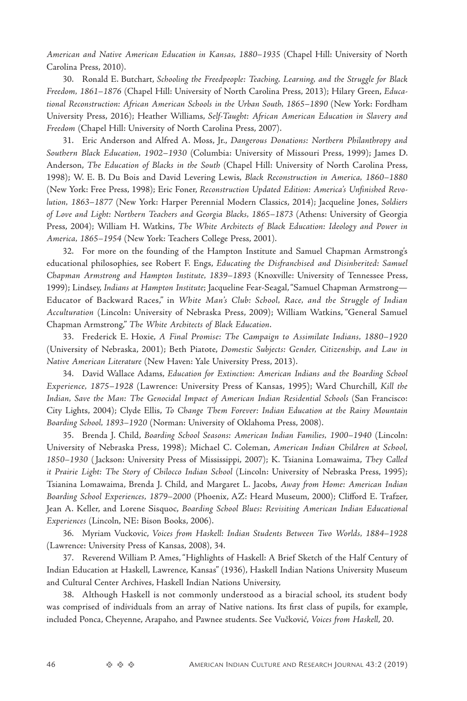<span id="page-21-0"></span>*American and Native American Education in Kansas, 1880–1935* (Chapel Hill: University of North Carolina Press, 2010).

[30.](#page-6-0) Ronald E. Butchart, *Schooling the Freedpeople: Teaching, Learning, and the Struggle for Black Freedom, 1861–1876* (Chapel Hill: University of North Carolina Press, 2013); Hilary Green, *Educational Reconstruction: African American Schools in the Urban South, 1865–1890* (New York: Fordham University Press, 2016); Heather Williams, *Self-Taught: African American Education in Slavery and Freedom* (Chapel Hill: University of North Carolina Press, 2007).

[31.](#page-6-0) Eric Anderson and Alfred A. Moss, Jr., *Dangerous Donations: Northern Philanthropy and Southern Black Education, 1902–1930* (Columbia: University of Missouri Press, 1999); James D. Anderson, *The Education of Blacks in the South* (Chapel Hill: University of North Carolina Press, 1998); W. E. B. Du Bois and David Levering Lewis, *Black Reconstruction in America, 1860–1880* (New York: Free Press, 1998); Eric Foner, *Reconstruction Updated Edition: America's Unfinished Revolution, 1863–1877* (New York: Harper Perennial Modern Classics, 2014); Jacqueline Jones, *Soldiers of Love and Light: Northern Teachers and Georgia Blacks, 1865–1873* (Athens: University of Georgia Press, 2004); William H. Watkins, *The White Architects of Black Education: Ideology and Power in America, 1865–1954* (New York: Teachers College Press, 2001).

[32.](#page-7-0) For more on the founding of the Hampton Institute and Samuel Chapman Armstrong's educational philosophies, see Robert F. Engs, *Educating the Disfranchised and Disinherited: Samuel Chapman Armstrong and Hampton Institute, 1839–1893* (Knoxville: University of Tennessee Press, 1999); Lindsey, *Indians at Hampton Institute*; Jacqueline Fear-Seagal, "Samuel Chapman Armstrong— Educator of Backward Races," in *White Man's Club: School, Race, and the Struggle of Indian Acculturation* (Lincoln: University of Nebraska Press, 2009); William Watkins, "General Samuel Chapman Armstrong," *The White Architects of Black Education*.

[33.](#page-7-0) Frederick E. Hoxie, *A Final Promise: The Campaign to Assimilate Indians, 1880–1920*  (University of Nebraska, 2001); Beth Piatote, *Domestic Subjects: Gender, Citizenship, and Law in Native American Literature* (New Haven: Yale University Press, 2013).

[34.](#page-7-0) David Wallace Adams, *Education for Extinction: American Indians and the Boarding School Experience, 1875–1928* (Lawrence: University Press of Kansas, 1995); Ward Churchill, *Kill the Indian, Save the Man: The Genocidal Impact of American Indian Residential Schools* (San Francisco: City Lights, 2004); Clyde Ellis, *To Change Them Forever: Indian Education at the Rainy Mountain Boarding School, 1893–1920* (Norman: University of Oklahoma Press, 2008).

[35.](#page-7-0) Brenda J. Child, *Boarding School Seasons: American Indian Families, 1900–1940* (Lincoln: University of Nebraska Press, 1998); Michael C. Coleman, *American Indian Children at School, 1850–1930* ( Jackson: University Press of Mississippi, 2007); K. Tsianina Lomawaima, *They Called it Prairie Light: The Story of Chilocco Indian School* (Lincoln: University of Nebraska Press, 1995); Tsianina Lomawaima, Brenda J. Child, and Margaret L. Jacobs, *Away from Home: American Indian Boarding School Experiences, 1879–2000* (Phoenix, AZ: Heard Museum, 2000); Clifford E. Trafzer, Jean A. Keller, and Lorene Sisquoc, *Boarding School Blues: Revisiting American Indian Educational Experiences* (Lincoln, NE: Bison Books, 2006).

[36.](#page-7-0) Myriam Vuckovic, *Voices from Haskell: Indian Students Between Two Worlds, 1884–1928* (Lawrence: University Press of Kansas, 2008), 34.

[37.](#page-8-0) Reverend William P. Ames, "Highlights of Haskell: A Brief Sketch of the Half Century of Indian Education at Haskell, Lawrence, Kansas" (1936), Haskell Indian Nations University Museum and Cultural Center Archives, Haskell Indian Nations University,

[38.](#page-8-0) Although Haskell is not commonly understood as a biracial school, its student body was comprised of individuals from an array of Native nations. Its first class of pupils, for example, included Ponca, Cheyenne, Arapaho, and Pawnee students. See Vučković, *Voices from Haskell*, 20.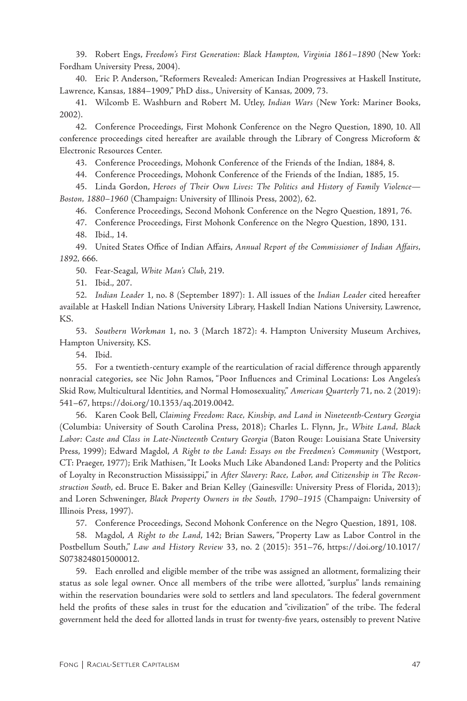<span id="page-22-0"></span>[39.](#page-8-0) Robert Engs, *Freedom's First Generation: Black Hampton, Virginia 1861–1890* (New York: Fordham University Press, 2004).

[40.](#page-8-0) Eric P. Anderson, "Reformers Revealed: American Indian Progressives at Haskell Institute, Lawrence, Kansas, 1884–1909," PhD diss., University of Kansas, 2009, 73.

[41.](#page-8-0) Wilcomb E. Washburn and Robert M. Utley, *Indian Wars* (New York: Mariner Books, 2002).

[42.](#page-8-0) Conference Proceedings, First Mohonk Conference on the Negro Question, 1890, 10. All conference proceedings cited hereafter are available through the Library of Congress Microform & Electronic Resources Center.

[43.](#page-9-0) Conference Proceedings, Mohonk Conference of the Friends of the Indian, 1884, 8.

[44.](#page-9-0) Conference Proceedings, Mohonk Conference of the Friends of the Indian, 1885, 15.

[45.](#page-9-0) Linda Gordon, *Heroes of Their Own Lives: The Politics and History of Family Violence— Boston, 1880–1960* (Champaign: University of Illinois Press, 2002), 62.

[46.](#page-9-0) Conference Proceedings, Second Mohonk Conference on the Negro Question, 1891, 76.

[47.](#page-9-0) Conference Proceedings, First Mohonk Conference on the Negro Question, 1890, 131.

[48.](#page-10-0) Ibid., 14.

[49.](#page-10-0) United States Office of Indian Affairs, *Annual Report of the Commissioner of Indian Affairs, 1892,* 666.

[50.](#page-10-0) Fear-Seagal, *White Man's Club*, 219.

[51.](#page-10-0) Ibid., 207.

[52.](#page-11-0) *Indian Leader* 1, no. 8 (September 1897): 1. All issues of the *Indian Leader* cited hereafter available at Haskell Indian Nations University Library, Haskell Indian Nations University, Lawrence, KS.

[53.](#page-11-0) *Southern Workman* 1, no. 3 (March 1872): 4. Hampton University Museum Archives, Hampton University, KS.

[54.](#page-11-0) Ibid.

[55.](#page-12-0) For a twentieth-century example of the rearticulation of racial difference through apparently nonracial categories, see Nic John Ramos, "Poor Influences and Criminal Locations: Los Angeles's Skid Row, Multicultural Identities, and Normal Homosexuality," *American Quarterly* 71, no. 2 (2019): 541–67, [https://doi.org/10.1353/aq.2019.0042.](https://doi.org/10.1353/aq.2019.0042)

[56.](#page-12-0) Karen Cook Bell, *Claiming Freedom: Race, Kinship, and Land in Nineteenth-Century Georgia*  (Columbia: University of South Carolina Press, 2018); Charles L. Flynn, Jr., *White Land, Black Labor: Caste and Class in Late-Nineteenth Century Georgia* (Baton Rouge: Louisiana State University Press, 1999); Edward Magdol, *A Right to the Land: Essays on the Freedmen's Community* (Westport, CT: Praeger, 1977); Erik Mathisen, "It Looks Much Like Abandoned Land: Property and the Politics of Loyalty in Reconstruction Mississippi," in *After Slavery: Race, Labor, and Citizenship in The Reconstruction South*, ed. Bruce E. Baker and Brian Kelley (Gainesville: University Press of Florida, 2013); and Loren Schweninger, *Black Property Owners in the South, 1790–1915* (Champaign: University of Illinois Press, 1997).

[57.](#page-12-0) Conference Proceedings, Second Mohonk Conference on the Negro Question, 1891, 108.

[58.](#page-12-0) Magdol, *A Right to the Land*, 142; Brian Sawers, "Property Law as Labor Control in the Postbellum South," *Law and History Review* 33, no. 2 (2015): 351–76, [https://doi.org/10.1017/](https://doi.org/10.1017/S0738248015000012) [S0738248015000012](https://doi.org/10.1017/S0738248015000012).

[59.](#page-13-0) Each enrolled and eligible member of the tribe was assigned an allotment, formalizing their status as sole legal owner. Once all members of the tribe were allotted, "surplus" lands remaining within the reservation boundaries were sold to settlers and land speculators. The federal government held the profits of these sales in trust for the education and "civilization" of the tribe. The federal government held the deed for allotted lands in trust for twenty-five years, ostensibly to prevent Native